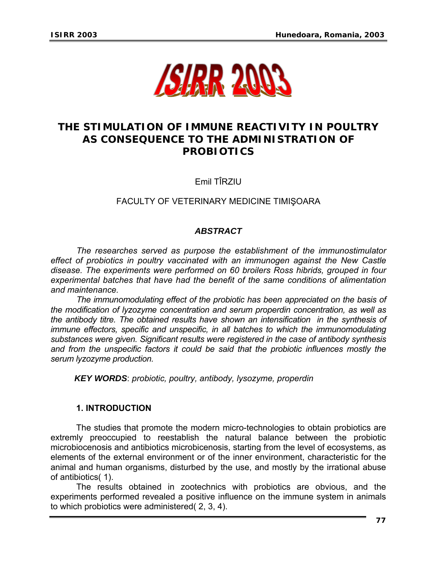

# **THE STIMULATION OF IMMUNE REACTIVITY IN POULTRY AS CONSEQUENCE TO THE ADMINISTRATION OF PROBIOTICS**

Emil TÎRZIU

FACULTY OF VETERINARY MEDICINE TIMIŞOARA

# *ABSTRACT*

*The researches served as purpose the establishment of the immunostimulator effect of probiotics in poultry vaccinated with an immunogen against the New Castle disease. The experiments were performed on 60 broilers Ross hibrids, grouped in four experimental batches that have had the benefit of the same conditions of alimentation and maintenance.* 

 *The immunomodulating effect of the probiotic has been appreciated on the basis of the modification of lyzozyme concentration and serum properdin concentration, as well as the antibody titre. The obtained results have shown an intensification in the synthesis of immune effectors, specific and unspecific, in all batches to which the immunomodulating substances were given. Significant results were registered in the case of antibody synthesis and from the unspecific factors it could be said that the probiotic influences mostly the serum lyzozyme production.* 

*KEY WORDS*: *probiotic, poultry, antibody, lysozyme, properdin* 

#### **1. INTRODUCTION**

The studies that promote the modern micro-technologies to obtain probiotics are extremly preoccupied to reestablish the natural balance between the probiotic microbiocenosis and antibiotics microbicenosis, starting from the level of ecosystems, as elements of the external environment or of the inner environment, characteristic for the animal and human organisms, disturbed by the use, and mostly by the irrational abuse of antibiotics( 1).

The results obtained in zootechnics with probiotics are obvious, and the experiments performed revealed a positive influence on the immune system in animals to which probiotics were administered( 2, 3, 4).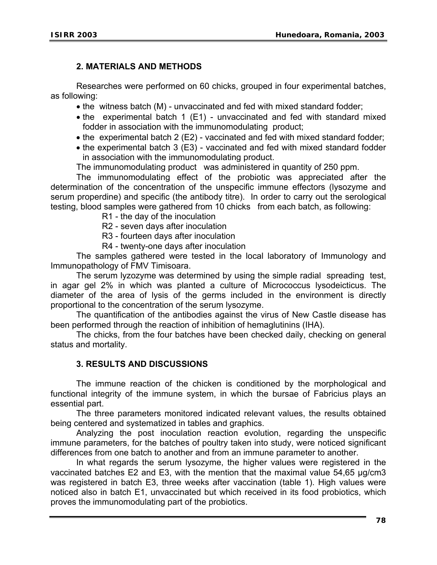## **2. MATERIALS AND METHODS**

 Researches were performed on 60 chicks, grouped in four experimental batches, as following:

- the witness batch (M) unvaccinated and fed with mixed standard fodder;
- the experimental batch 1 (E1) unvaccinated and fed with standard mixed fodder in association with the immunomodulating product;
- the experimental batch 2 (E2) vaccinated and fed with mixed standard fodder;
- the experimental batch 3 (E3) vaccinated and fed with mixed standard fodder in association with the immunomodulating product.

The immunomodulating product was administered in quantity of 250 ppm.

 The immunomodulating effect of the probiotic was appreciated after the determination of the concentration of the unspecific immune effectors (lysozyme and serum properdine) and specific (the antibody titre). In order to carry out the serological testing, blood samples were gathered from 10 chicks from each batch, as following:

- R1 the day of the inoculation
- R2 seven days after inoculation
- R3 fourteen days after inoculation
- R4 twenty-one days after inoculation

 The samples gathered were tested in the local laboratory of Immunology and Immunopathology of FMV Timisoara.

 The serum lyzozyme was determined by using the simple radial spreading test, in agar gel 2% in which was planted a culture of Micrococcus lysodeicticus. The diameter of the area of lysis of the germs included in the environment is directly proportional to the concentration of the serum lysozyme.

 The quantification of the antibodies against the virus of New Castle disease has been performed through the reaction of inhibition of hemaglutinins (IHA).

 The chicks, from the four batches have been checked daily, checking on general status and mortality.

#### **3. RESULTS AND DISCUSSIONS**

 The immune reaction of the chicken is conditioned by the morphological and functional integrity of the immune system, in which the bursae of Fabricius plays an essential part.

 The three parameters monitored indicated relevant values, the results obtained being centered and systematized in tables and graphics.

 Analyzing the post inoculation reaction evolution, regarding the unspecific immune parameters, for the batches of poultry taken into study, were noticed significant differences from one batch to another and from an immune parameter to another.

 In what regards the serum lysozyme, the higher values were registered in the vaccinated batches E2 and E3, with the mention that the maximal value 54,65 µg/cm3 was registered in batch E3, three weeks after vaccination (table 1). High values were noticed also in batch E1, unvaccinated but which received in its food probiotics, which proves the immunomodulating part of the probiotics.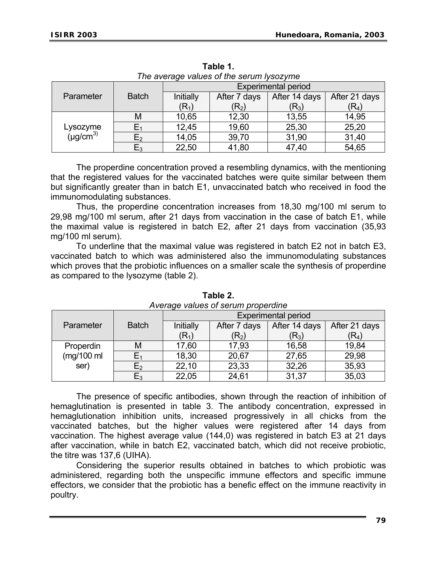| The average values of the serum lysozyme |               |                            |                  |                  |                  |  |  |
|------------------------------------------|---------------|----------------------------|------------------|------------------|------------------|--|--|
|                                          |               | <b>Experimental period</b> |                  |                  |                  |  |  |
| Parameter                                | <b>Batch</b>  | Initially                  | After 7 days     | After 14 days    | After 21 days    |  |  |
|                                          |               | $(R_1)$                    | $(\mathsf{R}_2)$ | $(\mathsf{R}_3)$ | $(\mathsf{R}_4)$ |  |  |
|                                          | М             | 10,65                      | 12,30            | 13,55            | 14,95            |  |  |
| Lysozyme<br>(µg/cm <sup>3)</sup>         |               | 12,45                      | 19,60            | 25,30            | 25,20            |  |  |
|                                          | E2            | 14,05                      | 39,70            | 31,90            | 31,40            |  |  |
|                                          | $\mathsf E_3$ | 22,50                      | 41,80            | 47,40            | 54,65            |  |  |

**Table 1.**  *The average values of the serum lysozyme* 

 The properdine concentration proved a resembling dynamics, with the mentioning that the registered values for the vaccinated batches were quite similar between them but significantly greater than in batch E1, unvaccinated batch who received in food the immunomodulating substances.

 Thus, the properdine concentration increases from 18,30 mg/100 ml serum to 29,98 mg/100 ml serum, after 21 days from vaccination in the case of batch E1, while the maximal value is registered in batch E2, after 21 days from vaccination (35,93 mg/100 ml serum).

 To underline that the maximal value was registered in batch E2 not in batch E3, vaccinated batch to which was administered also the immunomodulating substances which proves that the probiotic influences on a smaller scale the synthesis of properdine as compared to the lysozyme (table 2).

|                       |              | <b>Experimental period</b> |                  |                  |                  |
|-----------------------|--------------|----------------------------|------------------|------------------|------------------|
| Parameter             | <b>Batch</b> | Initially                  | After 7 days     | After 14 days    | After 21 days    |
|                       |              | $(R_{1})$                  | $(\mathsf{R}_2)$ | $(\mathsf{R}_3)$ | $(\mathsf{R}_4)$ |
| Properdin             | М            | 17,60                      | 17,93            | 16,58            | 19,84            |
| $(mg/100 \text{ ml})$ |              | 18,30                      | 20,67            | 27,65            | 29,98            |
| ser)                  | $E_2$        | 22,10                      | 23,33            | 32,26            | 35,93            |
|                       | $E_3$        | 22,05                      | 24,61            | 31,37            | 35,03            |

**Table 2.**  *Average values of serum properdine* 

The presence of specific antibodies, shown through the reaction of inhibition of hemaglutination is presented in table 3. The antibody concentration, expressed in hemaglutionation inhibition units, increased progressively in all chicks from the vaccinated batches, but the higher values were registered after 14 days from vaccination. The highest average value (144,0) was registered in batch E3 at 21 days after vaccination, while in batch E2, vaccinated batch, which did not receive probiotic, the titre was 137,6 (UIHA).

 Considering the superior results obtained in batches to which probiotic was administered, regarding both the unspecific immune effectors and specific immune effectors, we consider that the probiotic has a benefic effect on the immune reactivity in poultry.